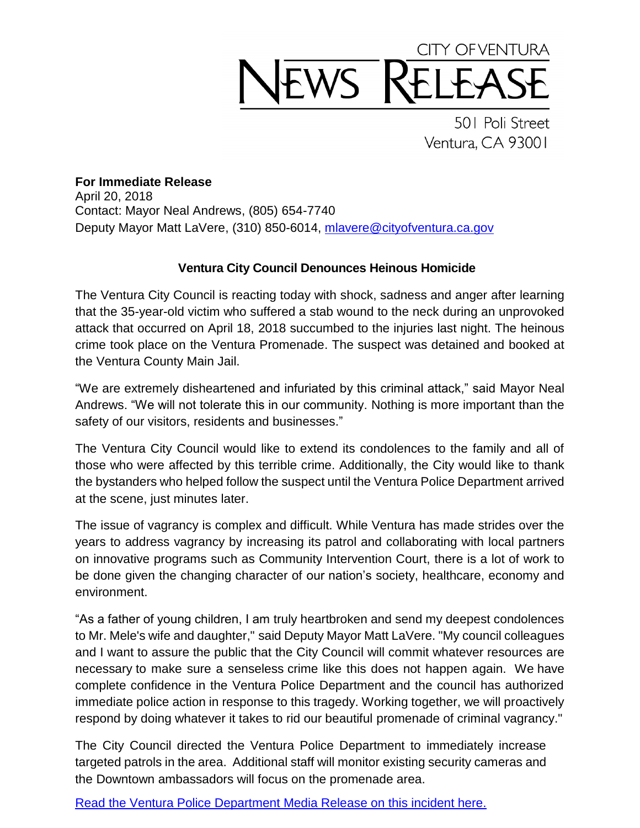## CITY OF VENTURA EWS RE

501 Poli Street Ventura, CA 93001

## **For Immediate Release**

April 20, 2018 Contact: Mayor Neal Andrews, (805) 654-7740 Deputy Mayor Matt LaVere, (310) 850-6014, [mlavere@cityofventura.ca.gov](mailto:mlavere@cityofventura.ca.gov)

## **Ventura City Council Denounces Heinous Homicide**

The Ventura City Council is reacting today with shock, sadness and anger after learning that the 35-year-old victim who suffered a stab wound to the neck during an unprovoked attack that occurred on April 18, 2018 succumbed to the injuries last night. The heinous crime took place on the Ventura Promenade. The suspect was detained and booked at the Ventura County Main Jail.

"We are extremely disheartened and infuriated by this criminal attack," said Mayor Neal Andrews. "We will not tolerate this in our community. Nothing is more important than the safety of our visitors, residents and businesses."

The Ventura City Council would like to extend its condolences to the family and all of those who were affected by this terrible crime. Additionally, the City would like to thank the bystanders who helped follow the suspect until the Ventura Police Department arrived at the scene, just minutes later.

The issue of vagrancy is complex and difficult. While Ventura has made strides over the years to address vagrancy by increasing its patrol and collaborating with local partners on innovative programs such as Community Intervention Court, there is a lot of work to be done given the changing character of our nation's society, healthcare, economy and environment.

"As a father of young children, I am truly heartbroken and send my deepest condolences to Mr. Mele's wife and daughter," said Deputy Mayor Matt LaVere. "My council colleagues and I want to assure the public that the City Council will commit whatever resources are necessary to make sure a senseless crime like this does not happen again. We have complete confidence in the Ventura Police Department and the council has authorized immediate police action in response to this tragedy. Working together, we will proactively respond by doing whatever it takes to rid our beautiful promenade of criminal vagrancy."

The City Council directed the Ventura Police Department to immediately increase targeted patrols in the area. Additional staff will monitor existing security cameras and the Downtown ambassadors will focus on the promenade area.

[Read the Ventura Police Department Media Release on this incident here.](https://www.cityofventura.ca.gov/ArchiveCenter/ViewFile/Item/1904)